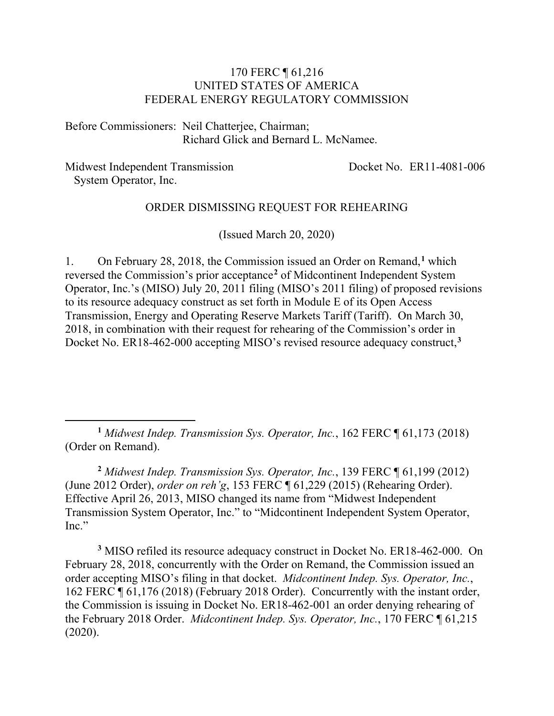#### 170 FERC ¶ 61,216 UNITED STATES OF AMERICA FEDERAL ENERGY REGULATORY COMMISSION

Before Commissioners: Neil Chatterjee, Chairman; Richard Glick and Bernard L. McNamee.

Midwest Independent Transmission System Operator, Inc.

Docket No. ER11-4081-006

#### ORDER DISMISSING REQUEST FOR REHEARING

(Issued March 20, 2020)

1. On February 28, 2018, the Commission issued an Order on Remand,**[1](#page-0-0)** which reversed the Commission's prior acceptance**[2](#page-0-1)** of Midcontinent Independent System Operator, Inc.'s (MISO) July 20, 2011 filing (MISO's 2011 filing) of proposed revisions to its resource adequacy construct as set forth in Module E of its Open Access Transmission, Energy and Operating Reserve Markets Tariff (Tariff). On March 30, 2018, in combination with their request for rehearing of the Commission's order in Docket No. ER18-462-000 accepting MISO's revised resource adequacy construct,**[3](#page-0-2)**

<span id="page-0-1"></span>**<sup>2</sup>** *Midwest Indep. Transmission Sys. Operator, Inc.*, 139 FERC ¶ 61,199 (2012) (June 2012 Order), *order on reh'g*, 153 FERC ¶ 61,229 (2015) (Rehearing Order). Effective April 26, 2013, MISO changed its name from "Midwest Independent Transmission System Operator, Inc." to "Midcontinent Independent System Operator, Inc."

<span id="page-0-2"></span>**<sup>3</sup>** MISO refiled its resource adequacy construct in Docket No. ER18-462-000. On February 28, 2018, concurrently with the Order on Remand, the Commission issued an order accepting MISO's filing in that docket. *Midcontinent Indep. Sys. Operator, Inc.*, 162 FERC ¶ 61,176 (2018) (February 2018 Order). Concurrently with the instant order, the Commission is issuing in Docket No. ER18-462-001 an order denying rehearing of the February 2018 Order. *Midcontinent Indep. Sys. Operator, Inc.*, 170 FERC ¶ 61,215 (2020).

<span id="page-0-0"></span>**<sup>1</sup>** *Midwest Indep. Transmission Sys. Operator, Inc.*, 162 FERC ¶ 61,173 (2018) (Order on Remand).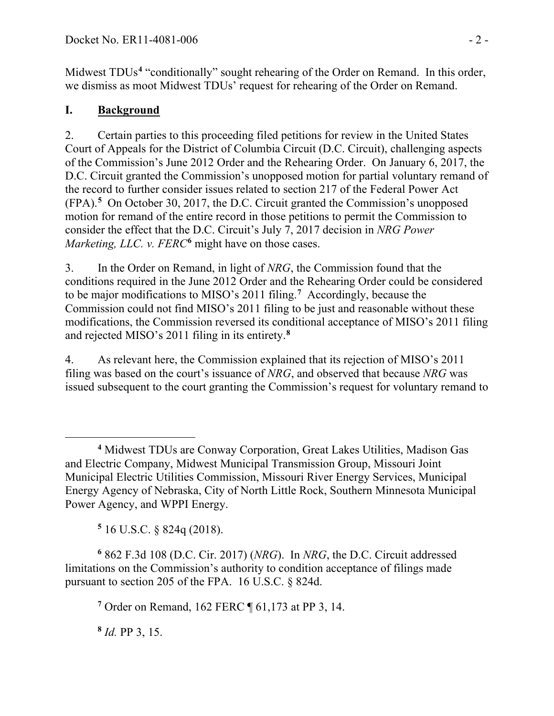Midwest TDUs**[4](#page-1-0)** "conditionally" sought rehearing of the Order on Remand. In this order, we dismiss as moot Midwest TDUs' request for rehearing of the Order on Remand.

# **I. Background**

2. Certain parties to this proceeding filed petitions for review in the United States Court of Appeals for the District of Columbia Circuit (D.C. Circuit), challenging aspects of the Commission's June 2012 Order and the Rehearing Order. On January 6, 2017, the D.C. Circuit granted the Commission's unopposed motion for partial voluntary remand of the record to further consider issues related to section 217 of the Federal Power Act (FPA). **[5](#page-1-1)** On October 30, 2017, the D.C. Circuit granted the Commission's unopposed motion for remand of the entire record in those petitions to permit the Commission to consider the effect that the D.C. Circuit's July 7, 2017 decision in *NRG Power Marketing, LLC. v. FERC***[6](#page-1-2)** might have on those cases.

3. In the Order on Remand, in light of *NRG*, the Commission found that the conditions required in the June 2012 Order and the Rehearing Order could be considered to be major modifications to MISO's 2011 filing.**[7](#page-1-3)** Accordingly, because the Commission could not find MISO's 2011 filing to be just and reasonable without these modifications, the Commission reversed its conditional acceptance of MISO's 2011 filing and rejected MISO's 2011 filing in its entirety. **[8](#page-1-4)**

4. As relevant here, the Commission explained that its rejection of MISO's 2011 filing was based on the court's issuance of *NRG*, and observed that because *NRG* was issued subsequent to the court granting the Commission's request for voluntary remand to

**<sup>5</sup>** 16 U.S.C. § 824q (2018).

<span id="page-1-3"></span><span id="page-1-2"></span><span id="page-1-1"></span>**<sup>6</sup>** 862 F.3d 108 (D.C. Cir. 2017) (*NRG*). In *NRG*, the D.C. Circuit addressed limitations on the Commission's authority to condition acceptance of filings made pursuant to section 205 of the FPA. 16 U.S.C. § 824d.

**<sup>7</sup>** Order on Remand, 162 FERC ¶ 61,173 at PP 3, 14.

<span id="page-1-4"></span>**<sup>8</sup>** *Id.* PP 3, 15.

<span id="page-1-0"></span>**<sup>4</sup>** Midwest TDUs are Conway Corporation, Great Lakes Utilities, Madison Gas and Electric Company, Midwest Municipal Transmission Group, Missouri Joint Municipal Electric Utilities Commission, Missouri River Energy Services, Municipal Energy Agency of Nebraska, City of North Little Rock, Southern Minnesota Municipal Power Agency, and WPPI Energy.